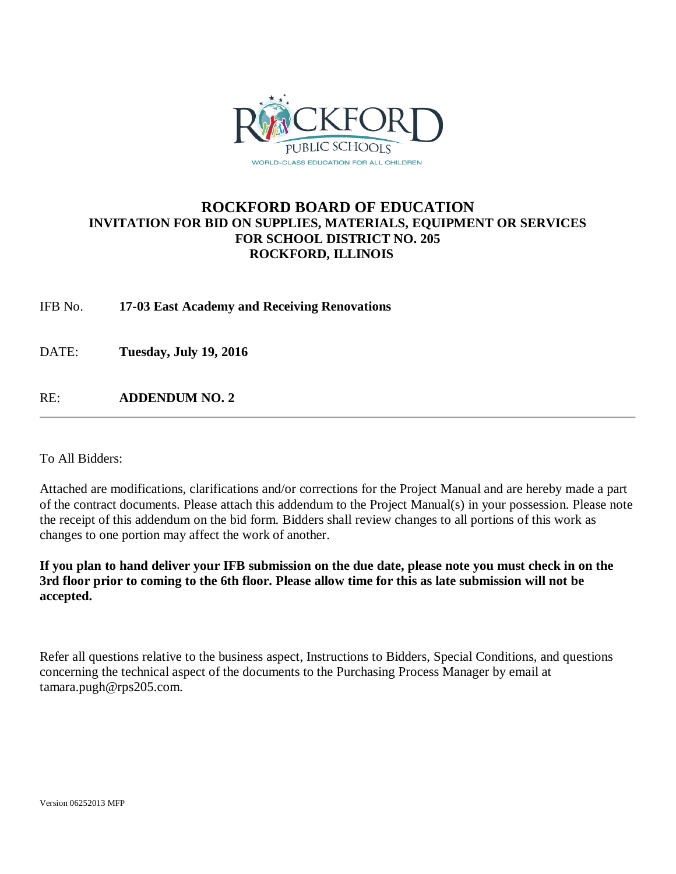

## **ROCKFORD BOARD OF EDUCATION INVITATION FOR BID ON SUPPLIES, MATERIALS, EQUIPMENT OR SERVICES FOR SCHOOL DISTRICT NO. 205 ROCKFORD, ILLINOIS**

IFB No. **17-03 East Academy and Receiving Renovations**

DATE: **Tuesday, July 19, 2016**

RE: **ADDENDUM NO. 2**

To All Bidders:

Attached are modifications, clarifications and/or corrections for the Project Manual and are hereby made a part of the contract documents. Please attach this addendum to the Project Manual(s) in your possession. Please note the receipt of this addendum on the bid form. Bidders shall review changes to all portions of this work as changes to one portion may affect the work of another.

**If you plan to hand deliver your IFB submission on the due date, please note you must check in on the 3rd floor prior to coming to the 6th floor. Please allow time for this as late submission will not be accepted.**

Refer all questions relative to the business aspect, Instructions to Bidders, Special Conditions, and questions concerning the technical aspect of the documents to the Purchasing Process Manager by email at tamara.pugh@rps205.com.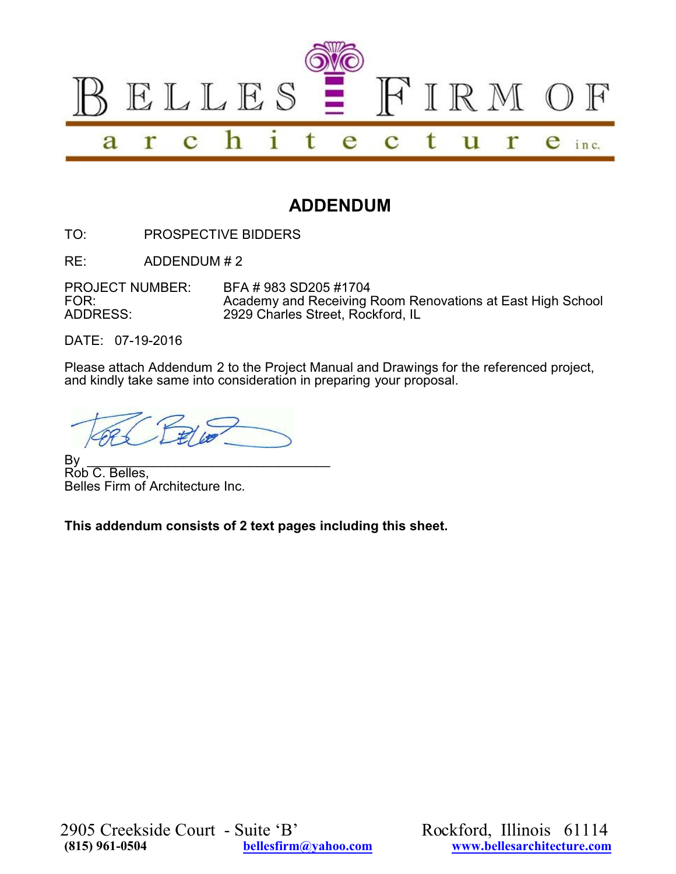

## **ADDENDUM**

TO: PROSPECTIVE BIDDERS

RE: ADDENDUM # 2

PROJECT NUMBER: BFA # 983 SD205 #1704<br>FOR: Academy and Receiving I FOR: <br>Academy and Receiving Room Renovations at East High School<br>ADDRESS: 2929 Charles Street. Rockford. IL 2929 Charles Street, Rockford, IL

DATE: 07-19-2016

Please attach Addendum 2 to the Project Manual and Drawings for the referenced project, and kindly take same into consideration in preparing your proposal.

By \_\_\_\_\_\_\_\_\_\_\_\_\_\_\_\_\_\_\_\_\_\_\_\_\_\_\_\_\_\_\_\_\_ Rob C. Belles, Belles Firm of Architecture Inc.

**This addendum consists of 2 text pages including this sheet.**